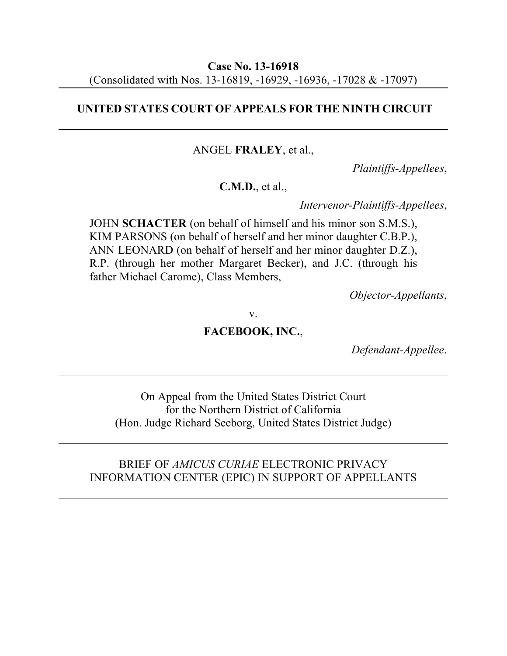### **UNITED STATES COURT OF APPEALS FOR THE NINTH CIRCUIT**

ANGEL **FRALEY**, et al.,

*Plaintiffs-Appellees*,

**C.M.D.**, et al.,

*Intervenor-Plaintiffs-Appellees*,

JOHN **SCHACTER** (on behalf of himself and his minor son S.M.S.), KIM PARSONS (on behalf of herself and her minor daughter C.B.P.), ANN LEONARD (on behalf of herself and her minor daughter D.Z.), R.P. (through her mother Margaret Becker), and J.C. (through his father Michael Carome), Class Members,

*Objector-Appellants*,

v.

# **FACEBOOK, INC.**,

*Defendant-Appellee*.

On Appeal from the United States District Court for the Northern District of California (Hon. Judge Richard Seeborg, United States District Judge)

### BRIEF OF *AMICUS CURIAE* ELECTRONIC PRIVACY INFORMATION CENTER (EPIC) IN SUPPORT OF APPELLANTS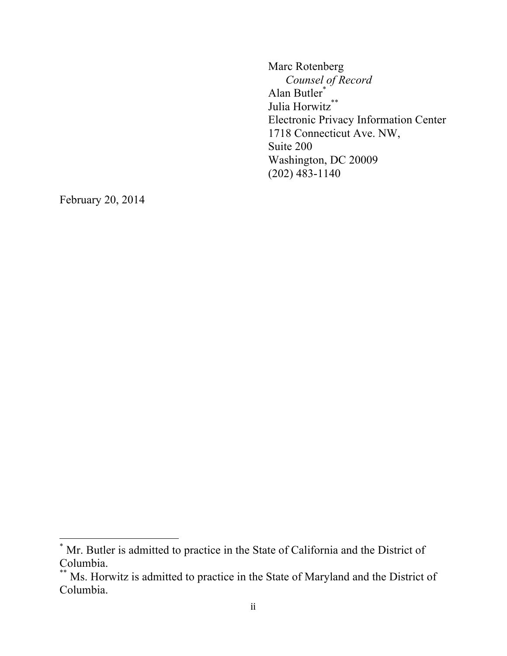Marc Rotenberg *Counsel of Record* Alan Butler\* Julia Horwitz\*\* Electronic Privacy Information Center 1718 Connecticut Ave. NW, Suite 200 Washington, DC 20009 (202) 483-1140

February 20, 2014

 $*$  Mr. Butler is admitted to practice in the State of California and the District of Columbia.

<sup>\*\*</sup> Ms. Horwitz is admitted to practice in the State of Maryland and the District of Columbia.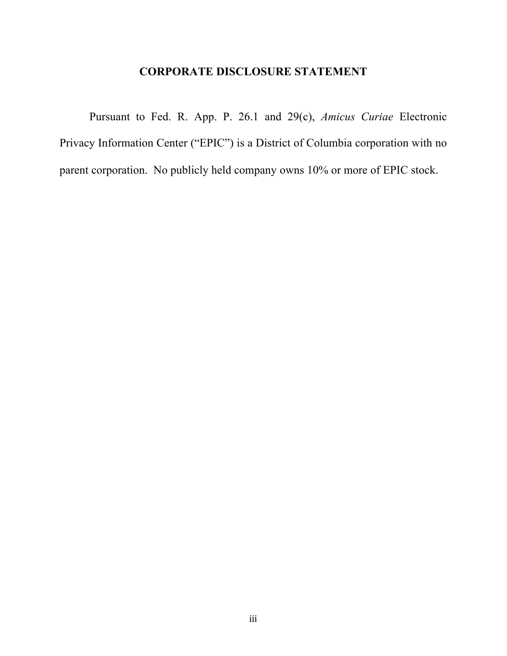# **CORPORATE DISCLOSURE STATEMENT**

Pursuant to Fed. R. App. P. 26.1 and 29(c), *Amicus Curiae* Electronic Privacy Information Center ("EPIC") is a District of Columbia corporation with no parent corporation. No publicly held company owns 10% or more of EPIC stock.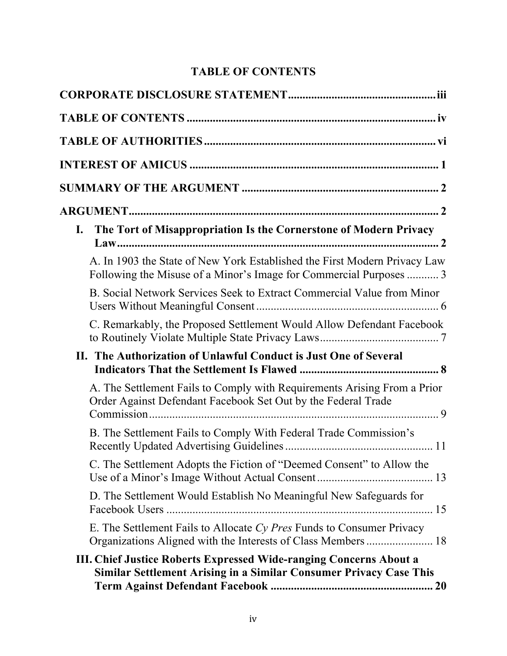# **TABLE OF CONTENTS**

| The Tort of Misappropriation Is the Cornerstone of Modern Privacy<br>I.                                                                         |
|-------------------------------------------------------------------------------------------------------------------------------------------------|
| A. In 1903 the State of New York Established the First Modern Privacy Law<br>Following the Misuse of a Minor's Image for Commercial Purposes  3 |
| B. Social Network Services Seek to Extract Commercial Value from Minor                                                                          |
| C. Remarkably, the Proposed Settlement Would Allow Defendant Facebook                                                                           |
| II. The Authorization of Unlawful Conduct is Just One of Several                                                                                |
| A. The Settlement Fails to Comply with Requirements Arising From a Prior<br>Order Against Defendant Facebook Set Out by the Federal Trade       |
| B. The Settlement Fails to Comply With Federal Trade Commission's                                                                               |
| C. The Settlement Adopts the Fiction of "Deemed Consent" to Allow the                                                                           |
| D. The Settlement Would Establish No Meaningful New Safeguards for                                                                              |
| E. The Settlement Fails to Allocate Cy Pres Funds to Consumer Privacy                                                                           |
| III. Chief Justice Roberts Expressed Wide-ranging Concerns About a<br>Similar Settlement Arising in a Similar Consumer Privacy Case This        |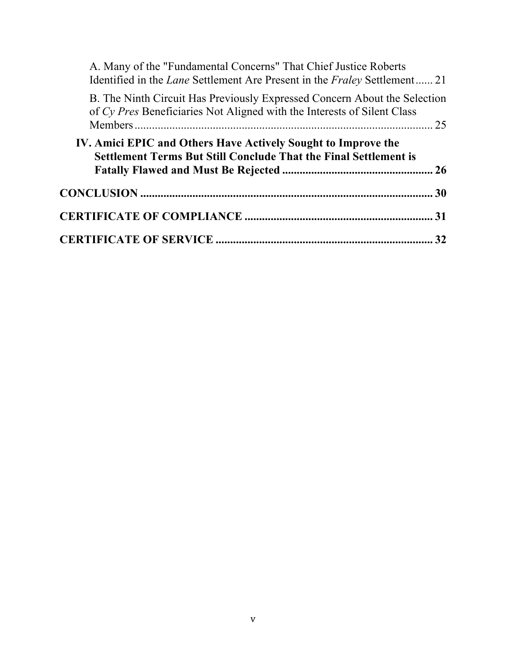| A. Many of the "Fundamental Concerns" That Chief Justice Roberts<br>Identified in the <i>Lane</i> Settlement Are Present in the <i>Fraley</i> Settlement 21 |    |
|-------------------------------------------------------------------------------------------------------------------------------------------------------------|----|
| B. The Ninth Circuit Has Previously Expressed Concern About the Selection<br>of Cy Pres Beneficiaries Not Aligned with the Interests of Silent Class        | 25 |
| IV. Amici EPIC and Others Have Actively Sought to Improve the<br><b>Settlement Terms But Still Conclude That the Final Settlement is</b>                    |    |
|                                                                                                                                                             |    |
|                                                                                                                                                             |    |
|                                                                                                                                                             |    |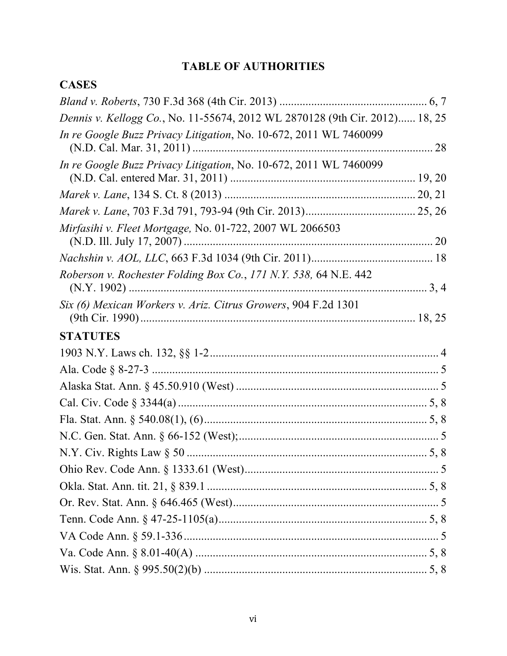# **TABLE OF AUTHORITIES**

# **CASES**

| Dennis v. Kellogg Co., No. 11-55674, 2012 WL 2870128 (9th Cir. 2012) 18, 25 |  |
|-----------------------------------------------------------------------------|--|
| In re Google Buzz Privacy Litigation, No. 10-672, 2011 WL 7460099           |  |
| In re Google Buzz Privacy Litigation, No. 10-672, 2011 WL 7460099           |  |
|                                                                             |  |
|                                                                             |  |
| Mirfasihi v. Fleet Mortgage, No. 01-722, 2007 WL 2066503                    |  |
|                                                                             |  |
| Roberson v. Rochester Folding Box Co., 171 N.Y. 538, 64 N.E. 442            |  |
| Six (6) Mexican Workers v. Ariz. Citrus Growers, 904 F.2d 1301              |  |
| <b>STATUTES</b>                                                             |  |
|                                                                             |  |
|                                                                             |  |
|                                                                             |  |
|                                                                             |  |
|                                                                             |  |
|                                                                             |  |
|                                                                             |  |
|                                                                             |  |
|                                                                             |  |
|                                                                             |  |
|                                                                             |  |
|                                                                             |  |
|                                                                             |  |
|                                                                             |  |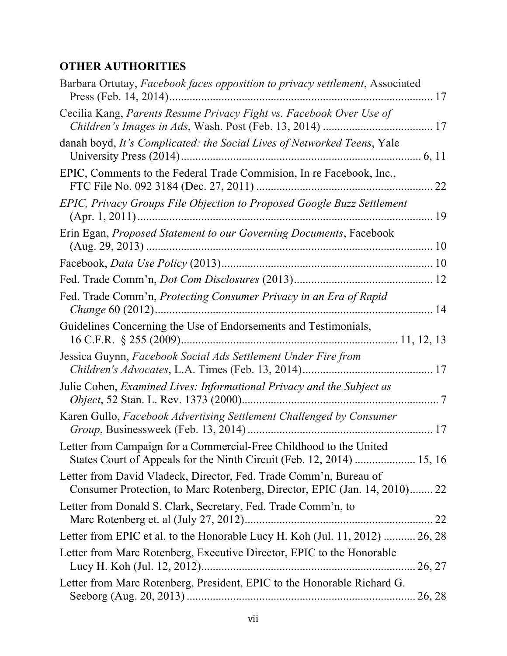# **OTHER AUTHORITIES**

| Barbara Ortutay, Facebook faces opposition to privacy settlement, Associated                                                                   |    |
|------------------------------------------------------------------------------------------------------------------------------------------------|----|
| Cecilia Kang, Parents Resume Privacy Fight vs. Facebook Over Use of                                                                            |    |
| danah boyd, It's Complicated: the Social Lives of Networked Teens, Yale                                                                        |    |
| EPIC, Comments to the Federal Trade Commision, In re Facebook, Inc.,                                                                           | 22 |
| EPIC, Privacy Groups File Objection to Proposed Google Buzz Settlement                                                                         | 19 |
| Erin Egan, <i>Proposed Statement to our Governing Documents</i> , Facebook                                                                     |    |
|                                                                                                                                                |    |
|                                                                                                                                                |    |
| Fed. Trade Comm'n, Protecting Consumer Privacy in an Era of Rapid<br>. 14                                                                      |    |
| Guidelines Concerning the Use of Endorsements and Testimonials,                                                                                |    |
| Jessica Guynn, Facebook Social Ads Settlement Under Fire from                                                                                  |    |
| Julie Cohen, Examined Lives: Informational Privacy and the Subject as                                                                          |    |
| Karen Gullo, Facebook Advertising Settlement Challenged by Consumer                                                                            |    |
| Letter from Campaign for a Commercial-Free Childhood to the United<br>States Court of Appeals for the Ninth Circuit (Feb. 12, 2014)  15, 16    |    |
| Letter from David Vladeck, Director, Fed. Trade Comm'n, Bureau of<br>Consumer Protection, to Marc Rotenberg, Director, EPIC (Jan. 14, 2010) 22 |    |
| Letter from Donald S. Clark, Secretary, Fed. Trade Comm'n, to                                                                                  |    |
| Letter from EPIC et al. to the Honorable Lucy H. Koh (Jul. 11, 2012)  26, 28                                                                   |    |
| Letter from Marc Rotenberg, Executive Director, EPIC to the Honorable                                                                          |    |
| Letter from Marc Rotenberg, President, EPIC to the Honorable Richard G.                                                                        |    |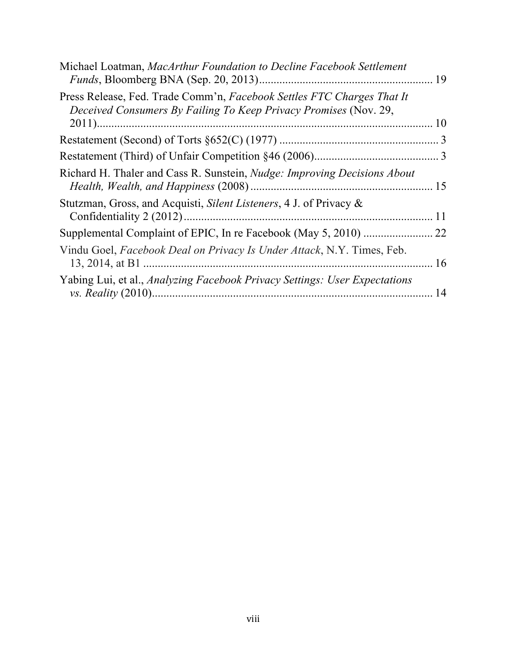| Michael Loatman, MacArthur Foundation to Decline Facebook Settlement                                                                       |    |
|--------------------------------------------------------------------------------------------------------------------------------------------|----|
| Press Release, Fed. Trade Comm'n, Facebook Settles FTC Charges That It<br>Deceived Consumers By Failing To Keep Privacy Promises (Nov. 29, |    |
|                                                                                                                                            | 10 |
|                                                                                                                                            |    |
|                                                                                                                                            |    |
| Richard H. Thaler and Cass R. Sunstein, <i>Nudge: Improving Decisions About</i>                                                            |    |
| Stutzman, Gross, and Acquisti, Silent Listeners, 4 J. of Privacy &                                                                         | 11 |
|                                                                                                                                            |    |
| Vindu Goel, Facebook Deal on Privacy Is Under Attack, N.Y. Times, Feb.                                                                     | 16 |
| Yabing Lui, et al., Analyzing Facebook Privacy Settings: User Expectations                                                                 | 14 |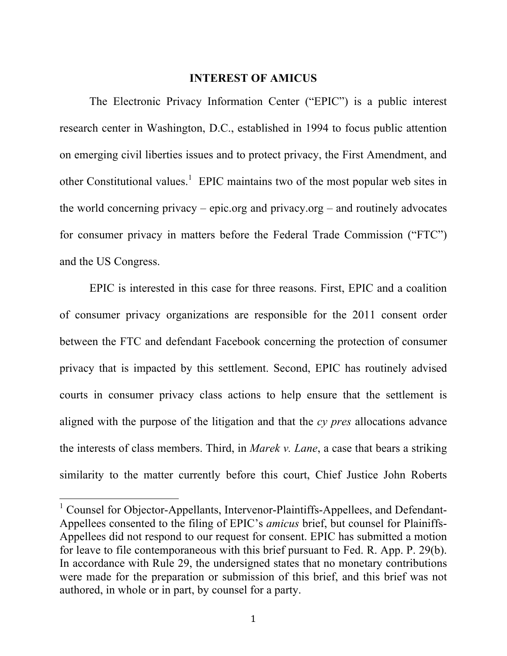#### **INTEREST OF AMICUS**

The Electronic Privacy Information Center ("EPIC") is a public interest research center in Washington, D.C., established in 1994 to focus public attention on emerging civil liberties issues and to protect privacy, the First Amendment, and other Constitutional values.<sup>1</sup> EPIC maintains two of the most popular web sites in the world concerning privacy – epic.org and privacy.org – and routinely advocates for consumer privacy in matters before the Federal Trade Commission ("FTC") and the US Congress.

EPIC is interested in this case for three reasons. First, EPIC and a coalition of consumer privacy organizations are responsible for the 2011 consent order between the FTC and defendant Facebook concerning the protection of consumer privacy that is impacted by this settlement. Second, EPIC has routinely advised courts in consumer privacy class actions to help ensure that the settlement is aligned with the purpose of the litigation and that the *cy pres* allocations advance the interests of class members. Third, in *Marek v. Lane*, a case that bears a striking similarity to the matter currently before this court, Chief Justice John Roberts

<sup>&</sup>lt;sup>1</sup> Counsel for Objector-Appellants, Intervenor-Plaintiffs-Appellees, and Defendant-Appellees consented to the filing of EPIC's *amicus* brief, but counsel for Plainiffs-Appellees did not respond to our request for consent. EPIC has submitted a motion for leave to file contemporaneous with this brief pursuant to Fed. R. App. P. 29(b). In accordance with Rule 29, the undersigned states that no monetary contributions were made for the preparation or submission of this brief, and this brief was not authored, in whole or in part, by counsel for a party.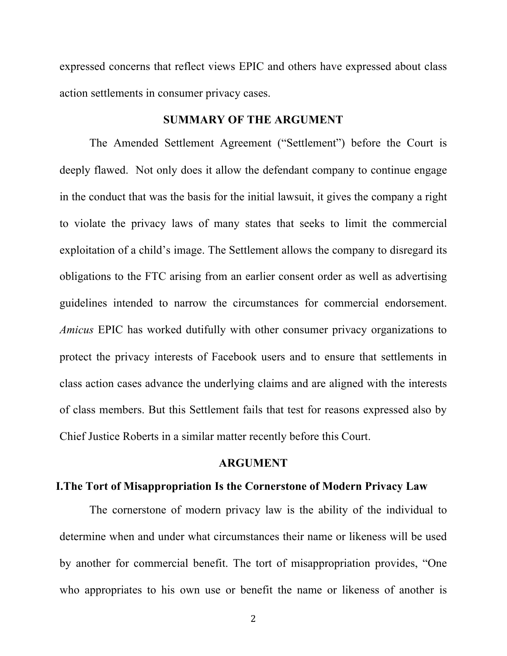expressed concerns that reflect views EPIC and others have expressed about class action settlements in consumer privacy cases.

#### **SUMMARY OF THE ARGUMENT**

The Amended Settlement Agreement ("Settlement") before the Court is deeply flawed. Not only does it allow the defendant company to continue engage in the conduct that was the basis for the initial lawsuit, it gives the company a right to violate the privacy laws of many states that seeks to limit the commercial exploitation of a child's image. The Settlement allows the company to disregard its obligations to the FTC arising from an earlier consent order as well as advertising guidelines intended to narrow the circumstances for commercial endorsement. *Amicus* EPIC has worked dutifully with other consumer privacy organizations to protect the privacy interests of Facebook users and to ensure that settlements in class action cases advance the underlying claims and are aligned with the interests of class members. But this Settlement fails that test for reasons expressed also by Chief Justice Roberts in a similar matter recently before this Court.

#### **ARGUMENT**

#### **I.The Tort of Misappropriation Is the Cornerstone of Modern Privacy Law**

The cornerstone of modern privacy law is the ability of the individual to determine when and under what circumstances their name or likeness will be used by another for commercial benefit. The tort of misappropriation provides, "One who appropriates to his own use or benefit the name or likeness of another is

2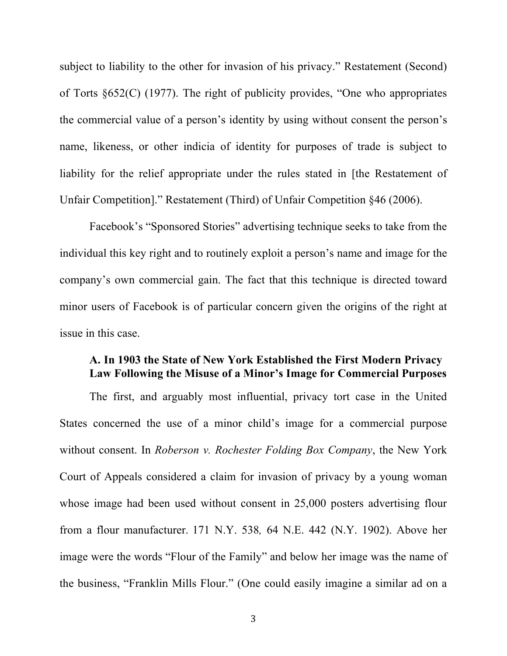subject to liability to the other for invasion of his privacy." Restatement (Second) of Torts §652(C) (1977). The right of publicity provides, "One who appropriates the commercial value of a person's identity by using without consent the person's name, likeness, or other indicia of identity for purposes of trade is subject to liability for the relief appropriate under the rules stated in [the Restatement of Unfair Competition]." Restatement (Third) of Unfair Competition §46 (2006).

Facebook's "Sponsored Stories" advertising technique seeks to take from the individual this key right and to routinely exploit a person's name and image for the company's own commercial gain. The fact that this technique is directed toward minor users of Facebook is of particular concern given the origins of the right at issue in this case.

#### **A. In 1903 the State of New York Established the First Modern Privacy Law Following the Misuse of a Minor's Image for Commercial Purposes**

The first, and arguably most influential, privacy tort case in the United States concerned the use of a minor child's image for a commercial purpose without consent. In *Roberson v. Rochester Folding Box Company*, the New York Court of Appeals considered a claim for invasion of privacy by a young woman whose image had been used without consent in 25,000 posters advertising flour from a flour manufacturer. 171 N.Y. 538*,* 64 N.E. 442 (N.Y. 1902). Above her image were the words "Flour of the Family" and below her image was the name of the business, "Franklin Mills Flour." (One could easily imagine a similar ad on a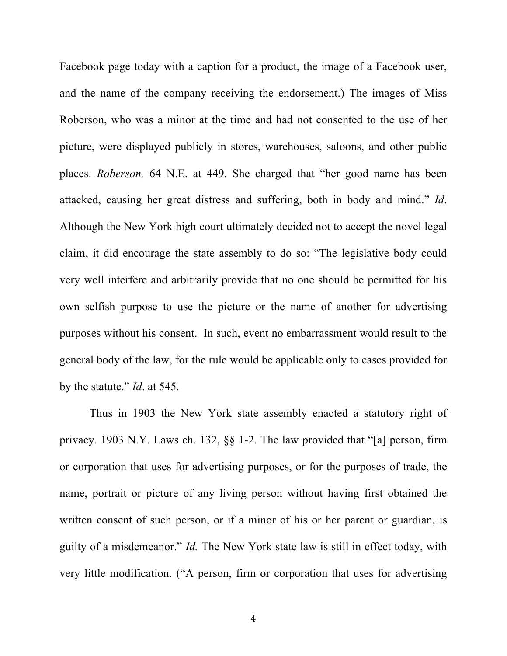Facebook page today with a caption for a product, the image of a Facebook user, and the name of the company receiving the endorsement.) The images of Miss Roberson, who was a minor at the time and had not consented to the use of her picture, were displayed publicly in stores, warehouses, saloons, and other public places. *Roberson,* 64 N.E. at 449. She charged that "her good name has been attacked, causing her great distress and suffering, both in body and mind." *Id*. Although the New York high court ultimately decided not to accept the novel legal claim, it did encourage the state assembly to do so: "The legislative body could very well interfere and arbitrarily provide that no one should be permitted for his own selfish purpose to use the picture or the name of another for advertising purposes without his consent. In such, event no embarrassment would result to the general body of the law, for the rule would be applicable only to cases provided for by the statute." *Id*. at 545.

Thus in 1903 the New York state assembly enacted a statutory right of privacy. 1903 N.Y. Laws ch. 132, §§ 1-2. The law provided that "[a] person, firm or corporation that uses for advertising purposes, or for the purposes of trade, the name, portrait or picture of any living person without having first obtained the written consent of such person, or if a minor of his or her parent or guardian, is guilty of a misdemeanor." *Id.* The New York state law is still in effect today, with very little modification. ("A person, firm or corporation that uses for advertising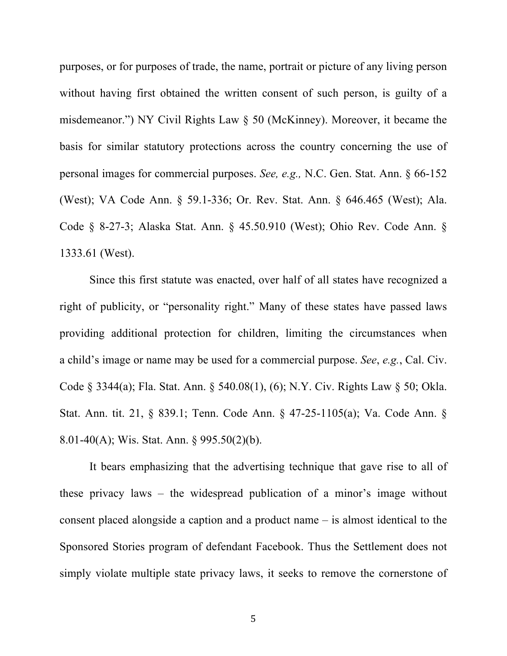purposes, or for purposes of trade, the name, portrait or picture of any living person without having first obtained the written consent of such person, is guilty of a misdemeanor.") NY Civil Rights Law § 50 (McKinney). Moreover, it became the basis for similar statutory protections across the country concerning the use of personal images for commercial purposes. *See, e.g.,* N.C. Gen. Stat. Ann. § 66-152 (West); VA Code Ann. § 59.1-336; Or. Rev. Stat. Ann. § 646.465 (West); Ala. Code § 8-27-3; Alaska Stat. Ann. § 45.50.910 (West); Ohio Rev. Code Ann. § 1333.61 (West).

Since this first statute was enacted, over half of all states have recognized a right of publicity, or "personality right." Many of these states have passed laws providing additional protection for children, limiting the circumstances when a child's image or name may be used for a commercial purpose. *See*, *e.g.*, Cal. Civ. Code § 3344(a); Fla. Stat. Ann. § 540.08(1), (6); N.Y. Civ. Rights Law § 50; Okla. Stat. Ann. tit. 21, § 839.1; Tenn. Code Ann. § 47-25-1105(a); Va. Code Ann. § 8.01-40(A); Wis. Stat. Ann. § 995.50(2)(b).

It bears emphasizing that the advertising technique that gave rise to all of these privacy laws – the widespread publication of a minor's image without consent placed alongside a caption and a product name – is almost identical to the Sponsored Stories program of defendant Facebook. Thus the Settlement does not simply violate multiple state privacy laws, it seeks to remove the cornerstone of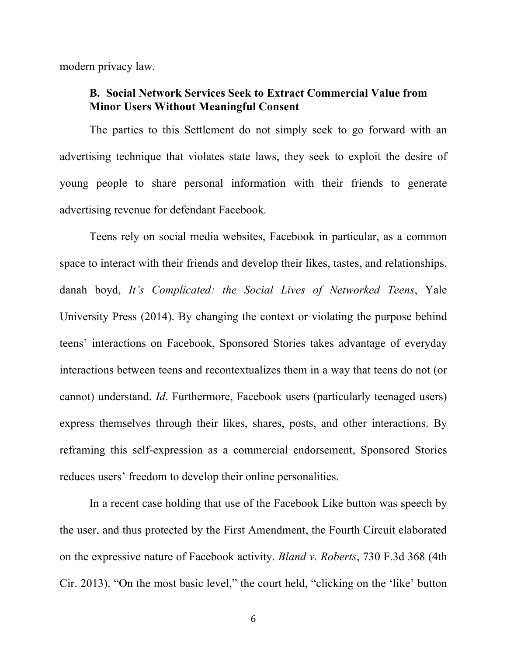modern privacy law.

### **B. Social Network Services Seek to Extract Commercial Value from Minor Users Without Meaningful Consent**

The parties to this Settlement do not simply seek to go forward with an advertising technique that violates state laws, they seek to exploit the desire of young people to share personal information with their friends to generate advertising revenue for defendant Facebook.

Teens rely on social media websites, Facebook in particular, as a common space to interact with their friends and develop their likes, tastes, and relationships. danah boyd, *It's Complicated: the Social Lives of Networked Teens*, Yale University Press (2014). By changing the context or violating the purpose behind teens' interactions on Facebook, Sponsored Stories takes advantage of everyday interactions between teens and recontextualizes them in a way that teens do not (or cannot) understand. *Id*. Furthermore, Facebook users (particularly teenaged users) express themselves through their likes, shares, posts, and other interactions. By reframing this self-expression as a commercial endorsement, Sponsored Stories reduces users' freedom to develop their online personalities.

In a recent case holding that use of the Facebook Like button was speech by the user, and thus protected by the First Amendment, the Fourth Circuit elaborated on the expressive nature of Facebook activity. *Bland v. Roberts*, 730 F.3d 368 (4th Cir. 2013). "On the most basic level," the court held, "clicking on the 'like' button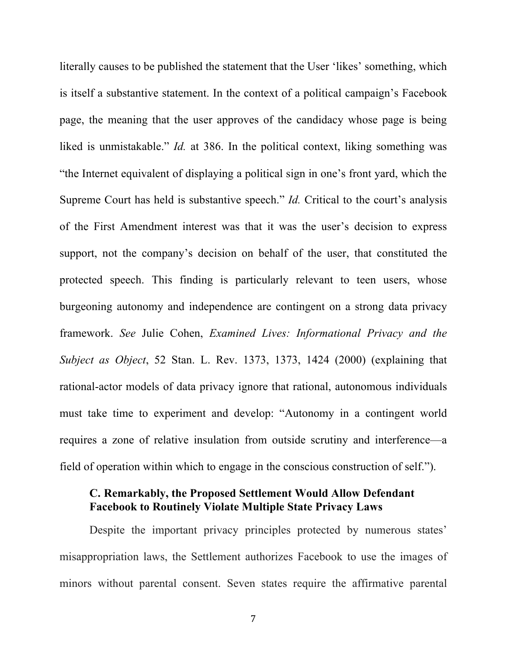literally causes to be published the statement that the User 'likes' something, which is itself a substantive statement. In the context of a political campaign's Facebook page, the meaning that the user approves of the candidacy whose page is being liked is unmistakable." *Id.* at 386. In the political context, liking something was "the Internet equivalent of displaying a political sign in one's front yard, which the Supreme Court has held is substantive speech." *Id.* Critical to the court's analysis of the First Amendment interest was that it was the user's decision to express support, not the company's decision on behalf of the user, that constituted the protected speech. This finding is particularly relevant to teen users, whose burgeoning autonomy and independence are contingent on a strong data privacy framework. *See* Julie Cohen, *Examined Lives: Informational Privacy and the Subject as Object*, 52 Stan. L. Rev. 1373, 1373, 1424 (2000) (explaining that rational-actor models of data privacy ignore that rational, autonomous individuals must take time to experiment and develop: "Autonomy in a contingent world requires a zone of relative insulation from outside scrutiny and interference—a field of operation within which to engage in the conscious construction of self.").

## **C. Remarkably, the Proposed Settlement Would Allow Defendant Facebook to Routinely Violate Multiple State Privacy Laws**

Despite the important privacy principles protected by numerous states' misappropriation laws, the Settlement authorizes Facebook to use the images of minors without parental consent. Seven states require the affirmative parental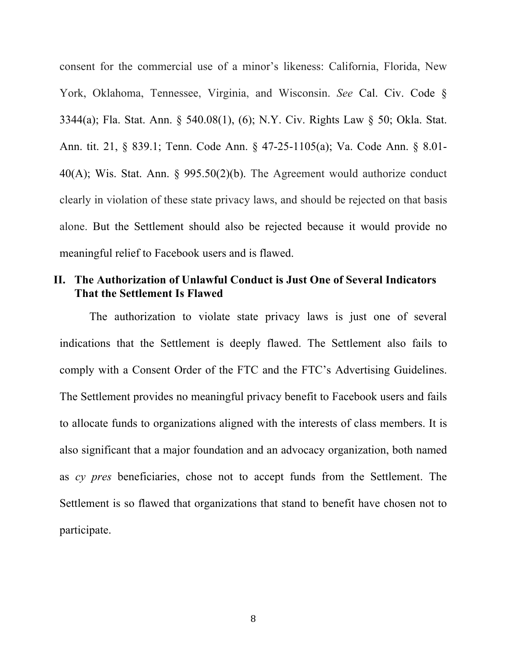consent for the commercial use of a minor's likeness: California, Florida, New York, Oklahoma, Tennessee, Virginia, and Wisconsin. *See* Cal. Civ. Code § 3344(a); Fla. Stat. Ann. § 540.08(1), (6); N.Y. Civ. Rights Law § 50; Okla. Stat. Ann. tit. 21, § 839.1; Tenn. Code Ann. § 47-25-1105(a); Va. Code Ann. § 8.01- 40(A); Wis. Stat. Ann. § 995.50(2)(b). The Agreement would authorize conduct clearly in violation of these state privacy laws, and should be rejected on that basis alone. But the Settlement should also be rejected because it would provide no meaningful relief to Facebook users and is flawed.

# **II. The Authorization of Unlawful Conduct is Just One of Several Indicators That the Settlement Is Flawed**

The authorization to violate state privacy laws is just one of several indications that the Settlement is deeply flawed. The Settlement also fails to comply with a Consent Order of the FTC and the FTC's Advertising Guidelines. The Settlement provides no meaningful privacy benefit to Facebook users and fails to allocate funds to organizations aligned with the interests of class members. It is also significant that a major foundation and an advocacy organization, both named as *cy pres* beneficiaries, chose not to accept funds from the Settlement. The Settlement is so flawed that organizations that stand to benefit have chosen not to participate.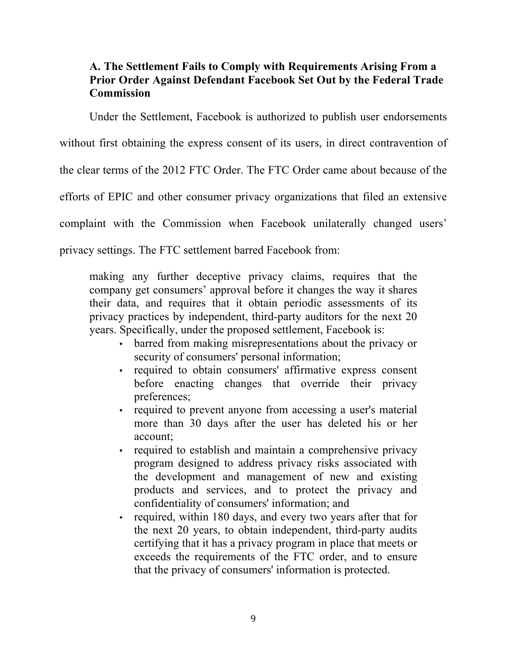# **A. The Settlement Fails to Comply with Requirements Arising From a Prior Order Against Defendant Facebook Set Out by the Federal Trade Commission**

Under the Settlement, Facebook is authorized to publish user endorsements

without first obtaining the express consent of its users, in direct contravention of

the clear terms of the 2012 FTC Order. The FTC Order came about because of the

efforts of EPIC and other consumer privacy organizations that filed an extensive

complaint with the Commission when Facebook unilaterally changed users'

privacy settings. The FTC settlement barred Facebook from:

making any further deceptive privacy claims, requires that the company get consumers' approval before it changes the way it shares their data, and requires that it obtain periodic assessments of its privacy practices by independent, third-party auditors for the next 20 years. Specifically, under the proposed settlement, Facebook is:

- barred from making misrepresentations about the privacy or security of consumers' personal information;
- required to obtain consumers' affirmative express consent before enacting changes that override their privacy preferences;
- required to prevent anyone from accessing a user's material more than 30 days after the user has deleted his or her account;
- required to establish and maintain a comprehensive privacy program designed to address privacy risks associated with the development and management of new and existing products and services, and to protect the privacy and confidentiality of consumers' information; and
- required, within 180 days, and every two years after that for the next 20 years, to obtain independent, third-party audits certifying that it has a privacy program in place that meets or exceeds the requirements of the FTC order, and to ensure that the privacy of consumers' information is protected.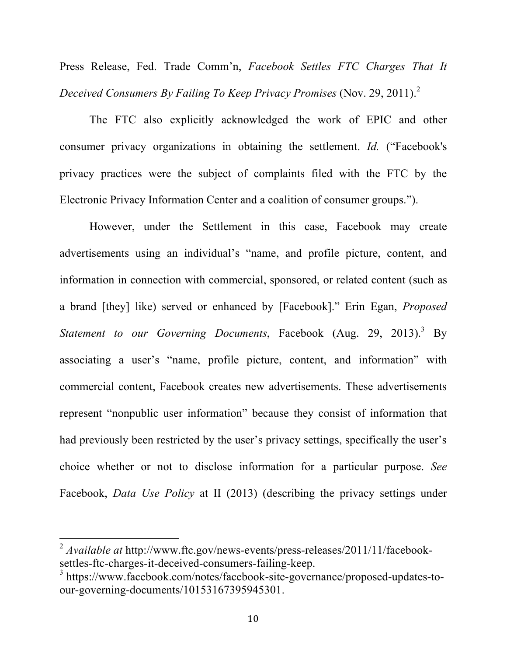Press Release, Fed. Trade Comm'n, *Facebook Settles FTC Charges That It Deceived Consumers By Failing To Keep Privacy Promises* (Nov. 29, 2011). 2

The FTC also explicitly acknowledged the work of EPIC and other consumer privacy organizations in obtaining the settlement. *Id.* ("Facebook's privacy practices were the subject of complaints filed with the FTC by the Electronic Privacy Information Center and a coalition of consumer groups.").

However, under the Settlement in this case, Facebook may create advertisements using an individual's "name, and profile picture, content, and information in connection with commercial, sponsored, or related content (such as a brand [they] like) served or enhanced by [Facebook]." Erin Egan, *Proposed Statement to our Governing Documents*, Facebook (Aug. 29, 2013). <sup>3</sup> By associating a user's "name, profile picture, content, and information" with commercial content, Facebook creates new advertisements. These advertisements represent "nonpublic user information" because they consist of information that had previously been restricted by the user's privacy settings, specifically the user's choice whether or not to disclose information for a particular purpose. *See*  Facebook, *Data Use Policy* at II (2013) (describing the privacy settings under

 $\alpha$ <sup>2</sup> *Available at* http://www.ftc.gov/news-events/press-releases/2011/11/facebooksettles-ftc-charges-it-deceived-consumers-failing-keep.

<sup>3</sup> https://www.facebook.com/notes/facebook-site-governance/proposed-updates-toour-governing-documents/10153167395945301.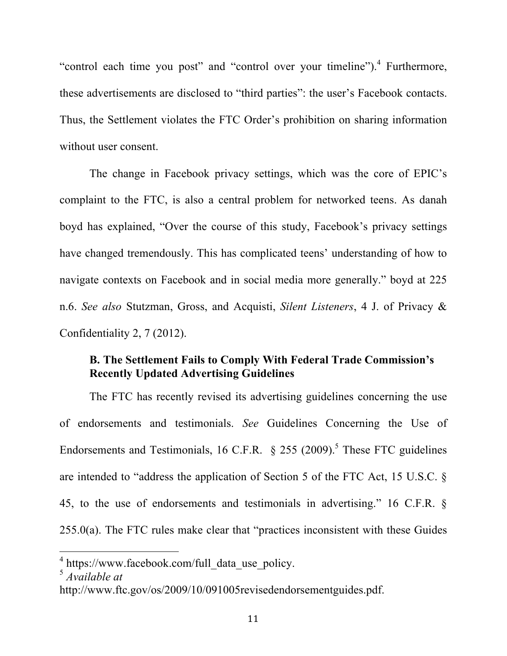"control each time you post" and "control over your timeline").<sup>4</sup> Furthermore, these advertisements are disclosed to "third parties": the user's Facebook contacts. Thus, the Settlement violates the FTC Order's prohibition on sharing information without user consent.

The change in Facebook privacy settings, which was the core of EPIC's complaint to the FTC, is also a central problem for networked teens. As danah boyd has explained, "Over the course of this study, Facebook's privacy settings have changed tremendously. This has complicated teens' understanding of how to navigate contexts on Facebook and in social media more generally." boyd at 225 n.6. *See also* Stutzman, Gross, and Acquisti, *Silent Listeners*, 4 J. of Privacy & Confidentiality 2, 7 (2012).

## **B. The Settlement Fails to Comply With Federal Trade Commission's Recently Updated Advertising Guidelines**

The FTC has recently revised its advertising guidelines concerning the use of endorsements and testimonials. *See* Guidelines Concerning the Use of Endorsements and Testimonials, 16 C.F.R.  $\S$  255 (2009).<sup>5</sup> These FTC guidelines are intended to "address the application of Section 5 of the FTC Act, 15 U.S.C. § 45, to the use of endorsements and testimonials in advertising." 16 C.F.R. § 255.0(a). The FTC rules make clear that "practices inconsistent with these Guides

 $1$  https://www.facebook.com/full data use policy.

<sup>5</sup> *Available at* 

http://www.ftc.gov/os/2009/10/091005revisedendorsementguides.pdf.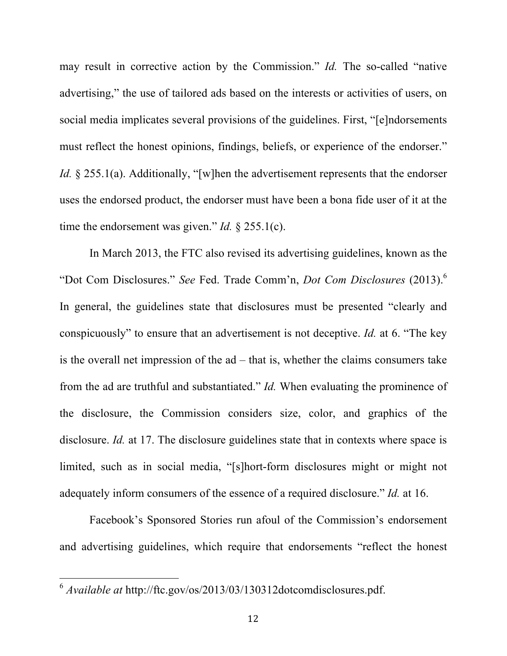may result in corrective action by the Commission." *Id.* The so-called "native advertising," the use of tailored ads based on the interests or activities of users, on social media implicates several provisions of the guidelines. First, "[e]ndorsements must reflect the honest opinions, findings, beliefs, or experience of the endorser." *Id.* § 255.1(a). Additionally, "[w]hen the advertisement represents that the endorser uses the endorsed product, the endorser must have been a bona fide user of it at the time the endorsement was given." *Id.* § 255.1(c).

In March 2013, the FTC also revised its advertising guidelines, known as the "Dot Com Disclosures." *See* Fed. Trade Comm'n, *Dot Com Disclosures* (2013). 6 In general, the guidelines state that disclosures must be presented "clearly and conspicuously" to ensure that an advertisement is not deceptive. *Id.* at 6. "The key is the overall net impression of the ad – that is, whether the claims consumers take from the ad are truthful and substantiated." *Id.* When evaluating the prominence of the disclosure, the Commission considers size, color, and graphics of the disclosure. *Id.* at 17. The disclosure guidelines state that in contexts where space is limited, such as in social media, "[s]hort-form disclosures might or might not adequately inform consumers of the essence of a required disclosure." *Id.* at 16.

Facebook's Sponsored Stories run afoul of the Commission's endorsement and advertising guidelines, which require that endorsements "reflect the honest

<sup>&</sup>lt;sup>6</sup> Available at http://ftc.gov/os/2013/03/130312dotcomdisclosures.pdf.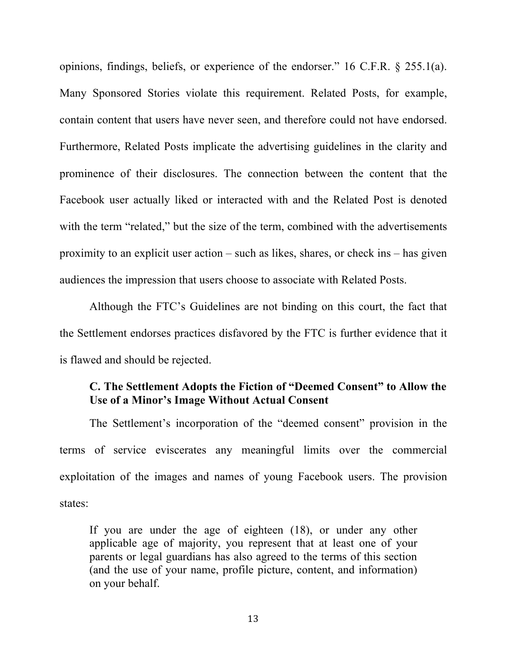opinions, findings, beliefs, or experience of the endorser." 16 C.F.R. § 255.1(a). Many Sponsored Stories violate this requirement. Related Posts, for example, contain content that users have never seen, and therefore could not have endorsed. Furthermore, Related Posts implicate the advertising guidelines in the clarity and prominence of their disclosures. The connection between the content that the Facebook user actually liked or interacted with and the Related Post is denoted with the term "related," but the size of the term, combined with the advertisements proximity to an explicit user action – such as likes, shares, or check ins – has given audiences the impression that users choose to associate with Related Posts.

Although the FTC's Guidelines are not binding on this court, the fact that the Settlement endorses practices disfavored by the FTC is further evidence that it is flawed and should be rejected.

## **C. The Settlement Adopts the Fiction of "Deemed Consent" to Allow the Use of a Minor's Image Without Actual Consent**

The Settlement's incorporation of the "deemed consent" provision in the terms of service eviscerates any meaningful limits over the commercial exploitation of the images and names of young Facebook users. The provision states:

If you are under the age of eighteen (18), or under any other applicable age of majority, you represent that at least one of your parents or legal guardians has also agreed to the terms of this section (and the use of your name, profile picture, content, and information) on your behalf.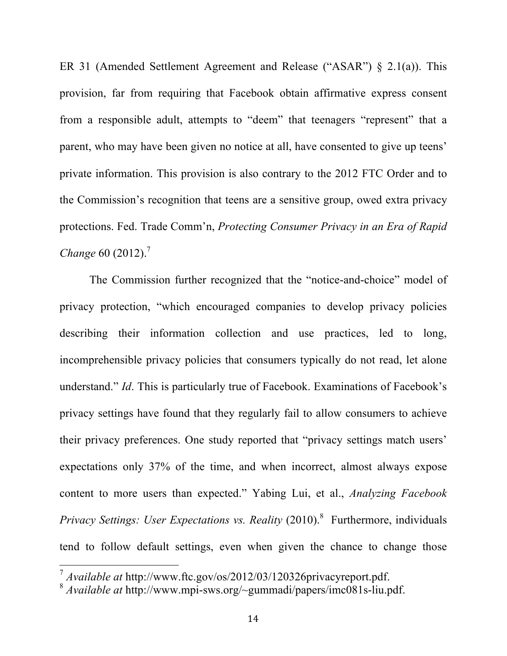ER 31 (Amended Settlement Agreement and Release ("ASAR") § 2.1(a)). This provision, far from requiring that Facebook obtain affirmative express consent from a responsible adult, attempts to "deem" that teenagers "represent" that a parent, who may have been given no notice at all, have consented to give up teens' private information. This provision is also contrary to the 2012 FTC Order and to the Commission's recognition that teens are a sensitive group, owed extra privacy protections. Fed. Trade Comm'n, *Protecting Consumer Privacy in an Era of Rapid Change* 60 (2012). 7

The Commission further recognized that the "notice-and-choice" model of privacy protection, "which encouraged companies to develop privacy policies describing their information collection and use practices, led to long, incomprehensible privacy policies that consumers typically do not read, let alone understand." *Id*. This is particularly true of Facebook. Examinations of Facebook's privacy settings have found that they regularly fail to allow consumers to achieve their privacy preferences. One study reported that "privacy settings match users' expectations only 37% of the time, and when incorrect, almost always expose content to more users than expected." Yabing Lui, et al., *Analyzing Facebook Privacy Settings: User Expectations vs. Reality* (2010). 8 Furthermore, individuals tend to follow default settings, even when given the chance to change those

<sup>&</sup>lt;sup>7</sup> Available at http://www.ftc.gov/os/2012/03/120326privacyreport.pdf.

<sup>8</sup> *Available at* http://www.mpi-sws.org/~gummadi/papers/imc081s-liu.pdf.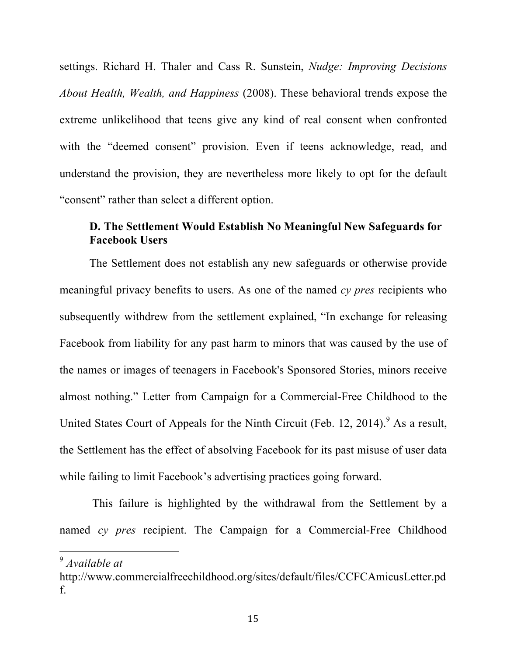settings. Richard H. Thaler and Cass R. Sunstein, *Nudge: Improving Decisions About Health, Wealth, and Happiness* (2008). These behavioral trends expose the extreme unlikelihood that teens give any kind of real consent when confronted with the "deemed consent" provision. Even if teens acknowledge, read, and understand the provision, they are nevertheless more likely to opt for the default "consent" rather than select a different option.

### **D. The Settlement Would Establish No Meaningful New Safeguards for Facebook Users**

The Settlement does not establish any new safeguards or otherwise provide meaningful privacy benefits to users. As one of the named *cy pres* recipients who subsequently withdrew from the settlement explained, "In exchange for releasing Facebook from liability for any past harm to minors that was caused by the use of the names or images of teenagers in Facebook's Sponsored Stories, minors receive almost nothing." Letter from Campaign for a Commercial-Free Childhood to the United States Court of Appeals for the Ninth Circuit (Feb. 12, 2014). <sup>9</sup> As a result, the Settlement has the effect of absolving Facebook for its past misuse of user data while failing to limit Facebook's advertising practices going forward.

This failure is highlighted by the withdrawal from the Settlement by a named *cy pres* recipient. The Campaign for a Commercial-Free Childhood

<sup>&</sup>lt;sup>9</sup> Available at

http://www.commercialfreechildhood.org/sites/default/files/CCFCAmicusLetter.pd f.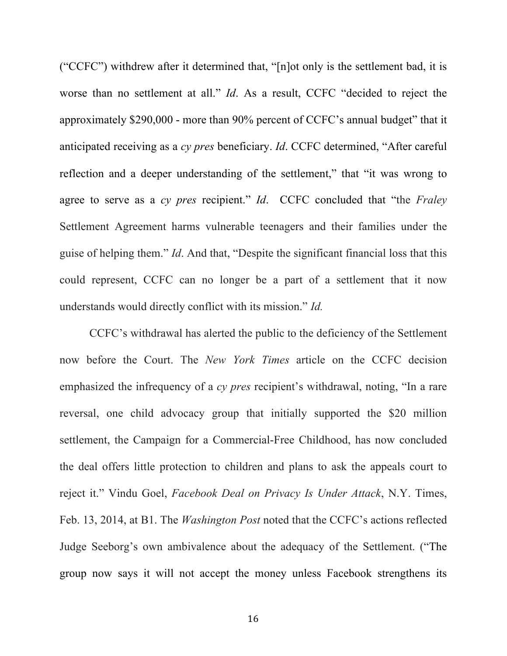("CCFC") withdrew after it determined that, "[n]ot only is the settlement bad, it is worse than no settlement at all." *Id*. As a result, CCFC "decided to reject the approximately \$290,000 - more than 90% percent of CCFC's annual budget" that it anticipated receiving as a *cy pres* beneficiary. *Id*. CCFC determined, "After careful reflection and a deeper understanding of the settlement," that "it was wrong to agree to serve as a *cy pres* recipient." *Id*. CCFC concluded that "the *Fraley*  Settlement Agreement harms vulnerable teenagers and their families under the guise of helping them." *Id*. And that, "Despite the significant financial loss that this could represent, CCFC can no longer be a part of a settlement that it now understands would directly conflict with its mission." *Id.*

CCFC's withdrawal has alerted the public to the deficiency of the Settlement now before the Court. The *New York Times* article on the CCFC decision emphasized the infrequency of a *cy pres* recipient's withdrawal, noting, "In a rare reversal, one child advocacy group that initially supported the \$20 million settlement, the Campaign for a Commercial-Free Childhood, has now concluded the deal offers little protection to children and plans to ask the appeals court to reject it." Vindu Goel, *Facebook Deal on Privacy Is Under Attack*, N.Y. Times, Feb. 13, 2014, at B1. The *Washington Post* noted that the CCFC's actions reflected Judge Seeborg's own ambivalence about the adequacy of the Settlement. ("The group now says it will not accept the money unless Facebook strengthens its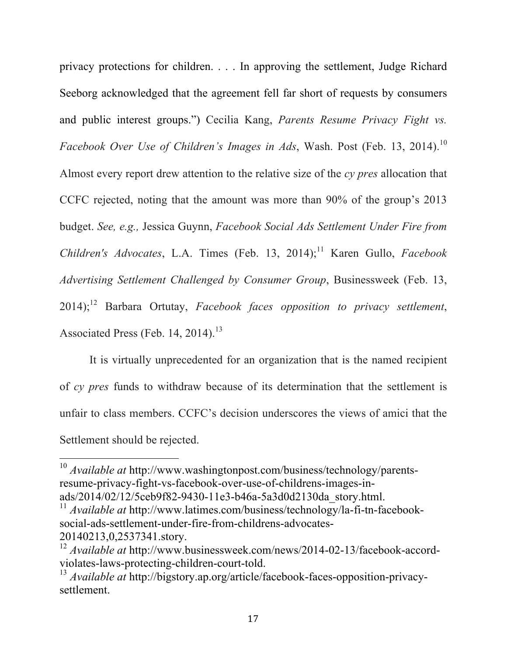privacy protections for children. . . . In approving the settlement, Judge Richard Seeborg acknowledged that the agreement fell far short of requests by consumers and public interest groups.") Cecilia Kang, *Parents Resume Privacy Fight vs. Facebook Over Use of Children's Images in Ads*, Wash. Post (Feb. 13, 2014). 10 Almost every report drew attention to the relative size of the *cy pres* allocation that CCFC rejected, noting that the amount was more than 90% of the group's 2013 budget. *See, e.g.,* Jessica Guynn, *Facebook Social Ads Settlement Under Fire from Children's Advocates*, L.A. Times (Feb. 13, 2014); <sup>11</sup> Karen Gullo, *Facebook Advertising Settlement Challenged by Consumer Group*, Businessweek (Feb. 13, 2014); <sup>12</sup> Barbara Ortutay, *Facebook faces opposition to privacy settlement*, Associated Press (Feb. 14, 2014).<sup>13</sup>

It is virtually unprecedented for an organization that is the named recipient of *cy pres* funds to withdraw because of its determination that the settlement is unfair to class members. CCFC's decision underscores the views of amici that the Settlement should be rejected.

<sup>&</sup>lt;sup>10</sup> Available at http://www.washingtonpost.com/business/technology/parentsresume-privacy-fight-vs-facebook-over-use-of-childrens-images-inads/2014/02/12/5ceb9f82-9430-11e3-b46a-5a3d0d2130da\_story.html.

<sup>&</sup>lt;sup>11</sup> *Available at http://www.latimes.com/business/technology/la-fi-tn-facebook*social-ads-settlement-under-fire-from-childrens-advocates-20140213,0,2537341.story.

<sup>12</sup> *Available at* http://www.businessweek.com/news/2014-02-13/facebook-accordviolates-laws-protecting-children-court-told.

<sup>13</sup> *Available at* http://bigstory.ap.org/article/facebook-faces-opposition-privacysettlement.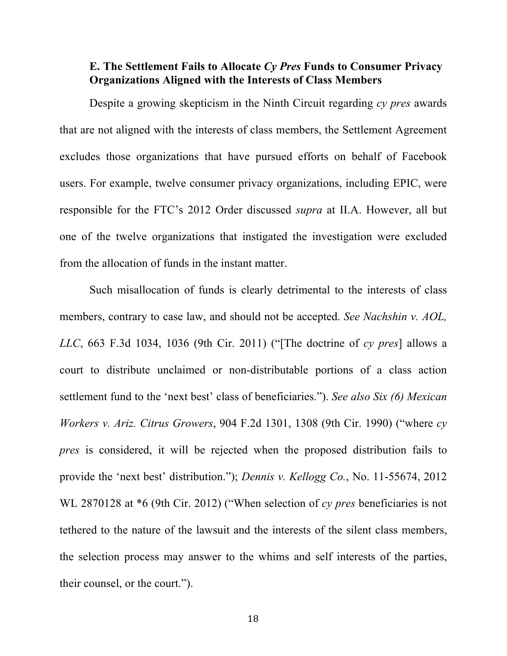#### **E. The Settlement Fails to Allocate** *Cy Pres* **Funds to Consumer Privacy Organizations Aligned with the Interests of Class Members**

Despite a growing skepticism in the Ninth Circuit regarding *cy pres* awards that are not aligned with the interests of class members, the Settlement Agreement excludes those organizations that have pursued efforts on behalf of Facebook users. For example, twelve consumer privacy organizations, including EPIC, were responsible for the FTC's 2012 Order discussed *supra* at II.A. However, all but one of the twelve organizations that instigated the investigation were excluded from the allocation of funds in the instant matter.

Such misallocation of funds is clearly detrimental to the interests of class members, contrary to case law, and should not be accepted. *See Nachshin v. AOL, LLC*, 663 F.3d 1034, 1036 (9th Cir. 2011) ("[The doctrine of *cy pres*] allows a court to distribute unclaimed or non-distributable portions of a class action settlement fund to the 'next best' class of beneficiaries."). *See also Six (6) Mexican Workers v. Ariz. Citrus Growers*, 904 F.2d 1301, 1308 (9th Cir. 1990) ("where *cy pres* is considered, it will be rejected when the proposed distribution fails to provide the 'next best' distribution."); *Dennis v. Kellogg Co.*, No. 11-55674, 2012 WL 2870128 at \*6 (9th Cir. 2012) ("When selection of *cy pres* beneficiaries is not tethered to the nature of the lawsuit and the interests of the silent class members, the selection process may answer to the whims and self interests of the parties, their counsel, or the court.").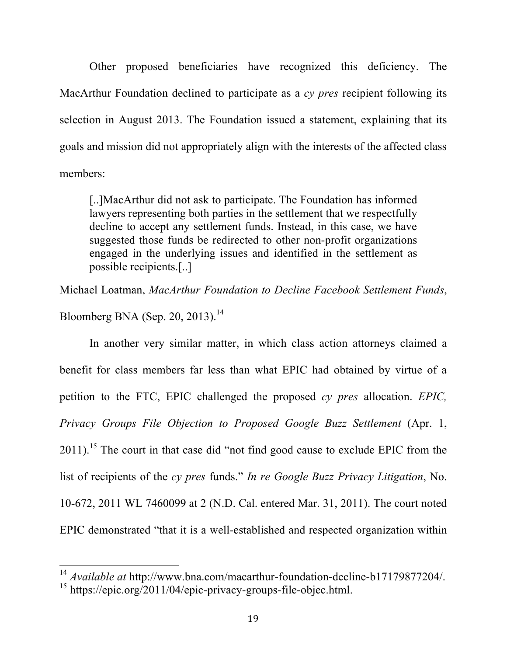Other proposed beneficiaries have recognized this deficiency. The MacArthur Foundation declined to participate as a *cy pres* recipient following its selection in August 2013. The Foundation issued a statement, explaining that its goals and mission did not appropriately align with the interests of the affected class members:

[..]MacArthur did not ask to participate. The Foundation has informed lawyers representing both parties in the settlement that we respectfully decline to accept any settlement funds. Instead, in this case, we have suggested those funds be redirected to other non-profit organizations engaged in the underlying issues and identified in the settlement as possible recipients.[..]

Michael Loatman, *MacArthur Foundation to Decline Facebook Settlement Funds*,

Bloomberg BNA (Sep. 20, 2013).<sup>14</sup>

In another very similar matter, in which class action attorneys claimed a benefit for class members far less than what EPIC had obtained by virtue of a petition to the FTC, EPIC challenged the proposed *cy pres* allocation. *EPIC, Privacy Groups File Objection to Proposed Google Buzz Settlement (Apr. 1,*  $2011$ ).<sup>15</sup> The court in that case did "not find good cause to exclude EPIC from the list of recipients of the *cy pres* funds." *In re Google Buzz Privacy Litigation*, No. 10-672, 2011 WL 7460099 at 2 (N.D. Cal. entered Mar. 31, 2011). The court noted EPIC demonstrated "that it is a well-established and respected organization within

<sup>&</sup>lt;sup>14</sup> Available at http://www.bna.com/macarthur-foundation-decline-b17179877204/.

<sup>&</sup>lt;sup>15</sup> https://epic.org/2011/04/epic-privacy-groups-file-objec.html.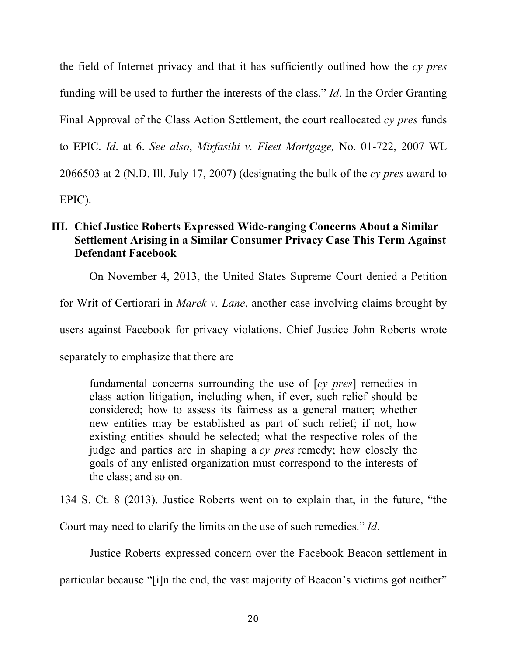the field of Internet privacy and that it has sufficiently outlined how the *cy pres*  funding will be used to further the interests of the class." *Id*. In the Order Granting Final Approval of the Class Action Settlement, the court reallocated *cy pres* funds to EPIC. *Id*. at 6. *See also*, *Mirfasihi v. Fleet Mortgage,* No. 01-722, 2007 WL 2066503 at 2 (N.D. Ill. July 17, 2007) (designating the bulk of the *cy pres* award to EPIC).

## **III. Chief Justice Roberts Expressed Wide-ranging Concerns About a Similar Settlement Arising in a Similar Consumer Privacy Case This Term Against Defendant Facebook**

On November 4, 2013, the United States Supreme Court denied a Petition

for Writ of Certiorari in *Marek v. Lane*, another case involving claims brought by

users against Facebook for privacy violations. Chief Justice John Roberts wrote

separately to emphasize that there are

fundamental concerns surrounding the use of [*cy pres*] remedies in class action litigation, including when, if ever, such relief should be considered; how to assess its fairness as a general matter; whether new entities may be established as part of such relief; if not, how existing entities should be selected; what the respective roles of the judge and parties are in shaping a *cy pres* remedy; how closely the goals of any enlisted organization must correspond to the interests of the class; and so on.

134 S. Ct. 8 (2013). Justice Roberts went on to explain that, in the future, "the

Court may need to clarify the limits on the use of such remedies." *Id*.

Justice Roberts expressed concern over the Facebook Beacon settlement in

particular because "[i]n the end, the vast majority of Beacon's victims got neither"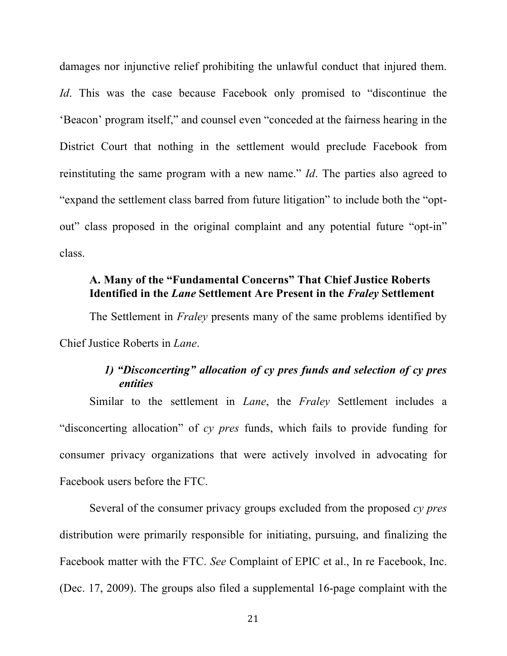damages nor injunctive relief prohibiting the unlawful conduct that injured them. *Id*. This was the case because Facebook only promised to "discontinue the 'Beacon' program itself," and counsel even "conceded at the fairness hearing in the District Court that nothing in the settlement would preclude Facebook from reinstituting the same program with a new name." *Id*. The parties also agreed to "expand the settlement class barred from future litigation" to include both the "optout" class proposed in the original complaint and any potential future "opt-in" class.

## **A. Many of the "Fundamental Concerns" That Chief Justice Roberts Identified in the** *Lane* **Settlement Are Present in the** *Fraley* **Settlement**

The Settlement in *Fraley* presents many of the same problems identified by Chief Justice Roberts in *Lane*.

## *1) "Disconcerting" allocation of cy pres funds and selection of cy pres entities*

Similar to the settlement in *Lane*, the *Fraley* Settlement includes a "disconcerting allocation" of *cy pres* funds, which fails to provide funding for consumer privacy organizations that were actively involved in advocating for Facebook users before the FTC.

Several of the consumer privacy groups excluded from the proposed *cy pres* distribution were primarily responsible for initiating, pursuing, and finalizing the Facebook matter with the FTC. *See* Complaint of EPIC et al., In re Facebook, Inc. (Dec. 17, 2009). The groups also filed a supplemental 16-page complaint with the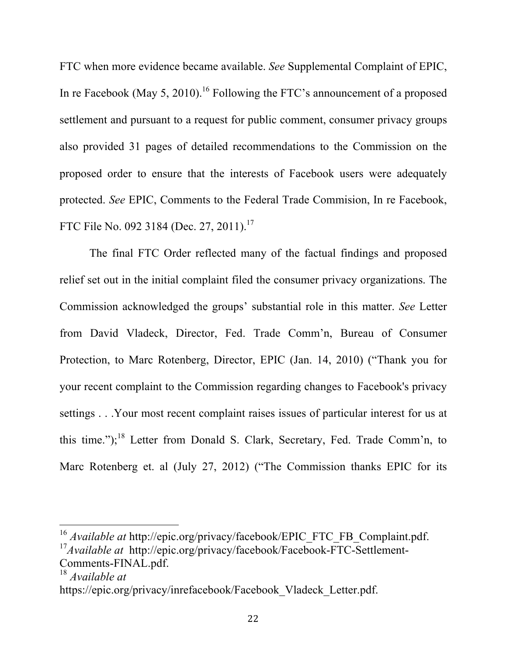FTC when more evidence became available. *See* Supplemental Complaint of EPIC, In re Facebook (May 5, 2010).<sup>16</sup> Following the FTC's announcement of a proposed settlement and pursuant to a request for public comment, consumer privacy groups also provided 31 pages of detailed recommendations to the Commission on the proposed order to ensure that the interests of Facebook users were adequately protected. *See* EPIC, Comments to the Federal Trade Commision, In re Facebook, FTC File No. 092 3184 (Dec. 27, 2011).<sup>17</sup>

The final FTC Order reflected many of the factual findings and proposed relief set out in the initial complaint filed the consumer privacy organizations. The Commission acknowledged the groups' substantial role in this matter. *See* Letter from David Vladeck, Director, Fed. Trade Comm'n, Bureau of Consumer Protection, to Marc Rotenberg, Director, EPIC (Jan. 14, 2010) ("Thank you for your recent complaint to the Commission regarding changes to Facebook's privacy settings . . .Your most recent complaint raises issues of particular interest for us at this time.");<sup>18</sup> Letter from Donald S. Clark, Secretary, Fed. Trade Comm'n, to Marc Rotenberg et. al (July 27, 2012) ("The Commission thanks EPIC for its

<sup>&</sup>lt;sup>16</sup> Available at http://epic.org/privacy/facebook/EPIC\_FTC\_FB\_Complaint.pdf.

<sup>&</sup>lt;sup>17</sup>Available at http://epic.org/privacy/facebook/Facebook-FTC-Settlement-Comments-FINAL.pdf.

<sup>18</sup> *Available at* 

https://epic.org/privacy/inrefacebook/Facebook\_Vladeck\_Letter.pdf.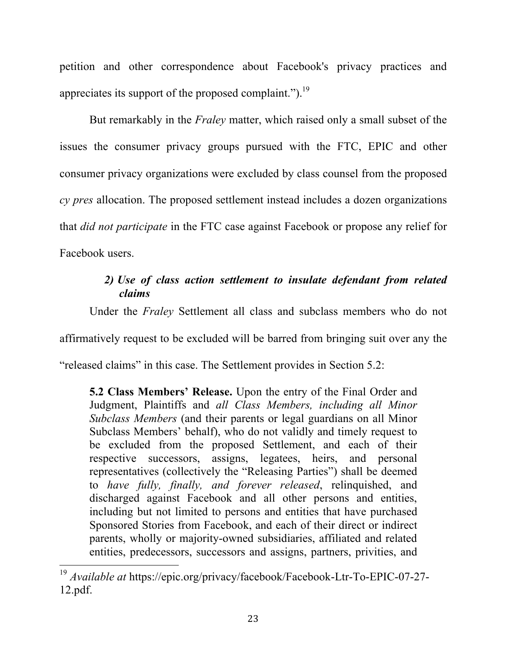petition and other correspondence about Facebook's privacy practices and appreciates its support of the proposed complaint.").<sup>19</sup>

But remarkably in the *Fraley* matter, which raised only a small subset of the issues the consumer privacy groups pursued with the FTC, EPIC and other consumer privacy organizations were excluded by class counsel from the proposed *cy pres* allocation. The proposed settlement instead includes a dozen organizations that *did not participate* in the FTC case against Facebook or propose any relief for Facebook users.

# *2) Use of class action settlement to insulate defendant from related claims*

Under the *Fraley* Settlement all class and subclass members who do not affirmatively request to be excluded will be barred from bringing suit over any the "released claims" in this case. The Settlement provides in Section 5.2:

**5.2 Class Members' Release.** Upon the entry of the Final Order and Judgment, Plaintiffs and *all Class Members, including all Minor Subclass Members* (and their parents or legal guardians on all Minor Subclass Members' behalf), who do not validly and timely request to be excluded from the proposed Settlement, and each of their respective successors, assigns, legatees, heirs, and personal representatives (collectively the "Releasing Parties") shall be deemed to *have fully, finally, and forever released*, relinquished, and discharged against Facebook and all other persons and entities, including but not limited to persons and entities that have purchased Sponsored Stories from Facebook, and each of their direct or indirect parents, wholly or majority-owned subsidiaries, affiliated and related entities, predecessors, successors and assigns, partners, privities, and

<sup>&</sup>lt;sup>19</sup> Available at https://epic.org/privacy/facebook/Facebook-Ltr-To-EPIC-07-27-12.pdf.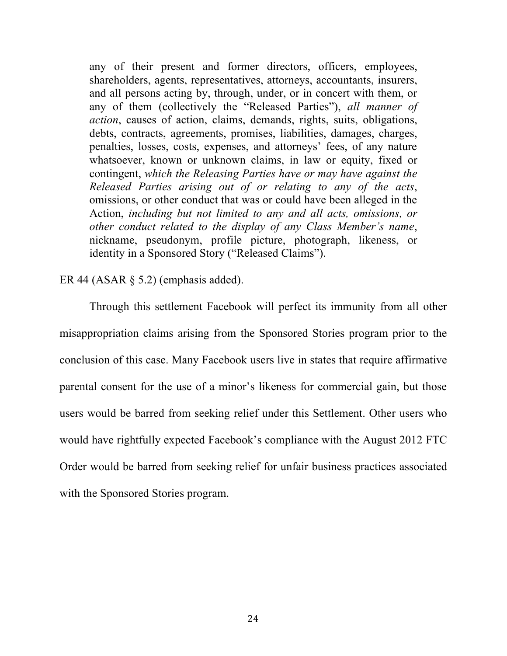any of their present and former directors, officers, employees, shareholders, agents, representatives, attorneys, accountants, insurers, and all persons acting by, through, under, or in concert with them, or any of them (collectively the "Released Parties"), *all manner of action*, causes of action, claims, demands, rights, suits, obligations, debts, contracts, agreements, promises, liabilities, damages, charges, penalties, losses, costs, expenses, and attorneys' fees, of any nature whatsoever, known or unknown claims, in law or equity, fixed or contingent, *which the Releasing Parties have or may have against the Released Parties arising out of or relating to any of the acts*, omissions, or other conduct that was or could have been alleged in the Action, *including but not limited to any and all acts, omissions, or other conduct related to the display of any Class Member's name*, nickname, pseudonym, profile picture, photograph, likeness, or identity in a Sponsored Story ("Released Claims").

#### ER 44 (ASAR § 5.2) (emphasis added).

Through this settlement Facebook will perfect its immunity from all other misappropriation claims arising from the Sponsored Stories program prior to the conclusion of this case. Many Facebook users live in states that require affirmative parental consent for the use of a minor's likeness for commercial gain, but those users would be barred from seeking relief under this Settlement. Other users who would have rightfully expected Facebook's compliance with the August 2012 FTC Order would be barred from seeking relief for unfair business practices associated with the Sponsored Stories program.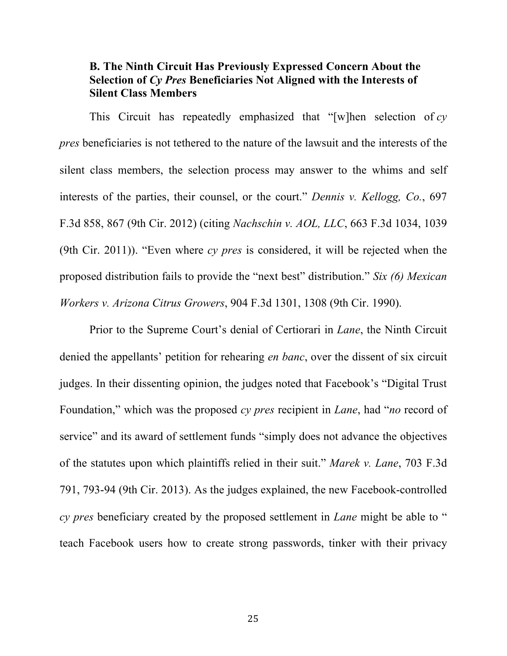### **B. The Ninth Circuit Has Previously Expressed Concern About the Selection of** *Cy Pres* **Beneficiaries Not Aligned with the Interests of Silent Class Members**

This Circuit has repeatedly emphasized that "[w]hen selection of *cy pres* beneficiaries is not tethered to the nature of the lawsuit and the interests of the silent class members, the selection process may answer to the whims and self interests of the parties, their counsel, or the court." *Dennis v. Kellogg, Co.*, 697 F.3d 858, 867 (9th Cir. 2012) (citing *Nachschin v. AOL, LLC*, 663 F.3d 1034, 1039 (9th Cir. 2011)). "Even where *cy pres* is considered, it will be rejected when the proposed distribution fails to provide the "next best" distribution." *Six (6) Mexican Workers v. Arizona Citrus Growers*, 904 F.3d 1301, 1308 (9th Cir. 1990).

Prior to the Supreme Court's denial of Certiorari in *Lane*, the Ninth Circuit denied the appellants' petition for rehearing *en banc*, over the dissent of six circuit judges. In their dissenting opinion, the judges noted that Facebook's "Digital Trust Foundation," which was the proposed *cy pres* recipient in *Lane*, had "*no* record of service" and its award of settlement funds "simply does not advance the objectives of the statutes upon which plaintiffs relied in their suit." *Marek v. Lane*, 703 F.3d 791, 793-94 (9th Cir. 2013). As the judges explained, the new Facebook-controlled *cy pres* beneficiary created by the proposed settlement in *Lane* might be able to " teach Facebook users how to create strong passwords, tinker with their privacy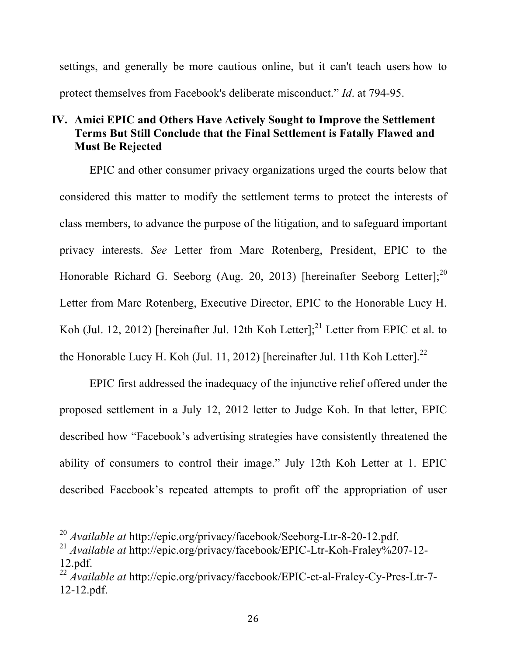settings, and generally be more cautious online, but it can't teach users how to protect themselves from Facebook's deliberate misconduct." *Id*. at 794-95.

## **IV. Amici EPIC and Others Have Actively Sought to Improve the Settlement Terms But Still Conclude that the Final Settlement is Fatally Flawed and Must Be Rejected**

EPIC and other consumer privacy organizations urged the courts below that considered this matter to modify the settlement terms to protect the interests of class members, to advance the purpose of the litigation, and to safeguard important privacy interests. *See* Letter from Marc Rotenberg, President, EPIC to the Honorable Richard G. Seeborg (Aug. 20, 2013) [hereinafter Seeborg Letter];<sup>20</sup> Letter from Marc Rotenberg, Executive Director, EPIC to the Honorable Lucy H. Koh (Jul. 12, 2012) [hereinafter Jul. 12th Koh Letter];<sup>21</sup> Letter from EPIC et al. to the Honorable Lucy H. Koh (Jul. 11, 2012) [hereinafter Jul. 11th Koh Letter]. $^{22}$ 

EPIC first addressed the inadequacy of the injunctive relief offered under the proposed settlement in a July 12, 2012 letter to Judge Koh. In that letter, EPIC described how "Facebook's advertising strategies have consistently threatened the ability of consumers to control their image." July 12th Koh Letter at 1. EPIC described Facebook's repeated attempts to profit off the appropriation of user

<sup>&</sup>lt;sup>20</sup> Available at http://epic.org/privacy/facebook/Seeborg-Ltr-8-20-12.pdf.

<sup>21</sup> *Available at* http://epic.org/privacy/facebook/EPIC-Ltr-Koh-Fraley%207-12- 12.pdf.

<sup>22</sup> *Available at* http://epic.org/privacy/facebook/EPIC-et-al-Fraley-Cy-Pres-Ltr-7- 12-12.pdf.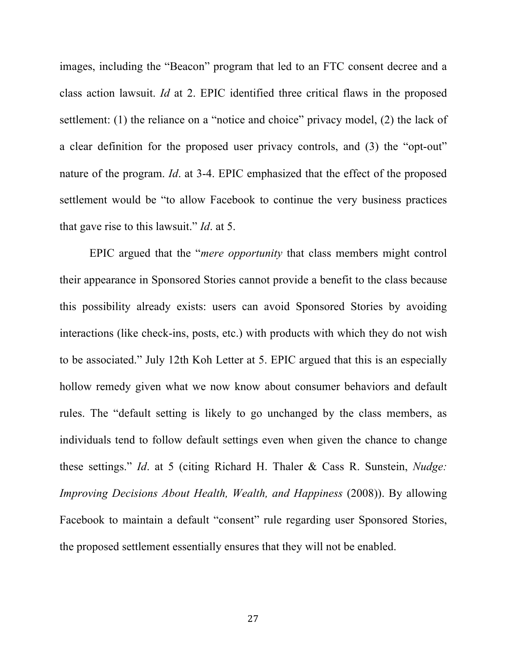images, including the "Beacon" program that led to an FTC consent decree and a class action lawsuit. *Id* at 2. EPIC identified three critical flaws in the proposed settlement: (1) the reliance on a "notice and choice" privacy model, (2) the lack of a clear definition for the proposed user privacy controls, and (3) the "opt-out" nature of the program. *Id*. at 3-4. EPIC emphasized that the effect of the proposed settlement would be "to allow Facebook to continue the very business practices that gave rise to this lawsuit." *Id*. at 5.

EPIC argued that the "*mere opportunity* that class members might control their appearance in Sponsored Stories cannot provide a benefit to the class because this possibility already exists: users can avoid Sponsored Stories by avoiding interactions (like check-ins, posts, etc.) with products with which they do not wish to be associated." July 12th Koh Letter at 5. EPIC argued that this is an especially hollow remedy given what we now know about consumer behaviors and default rules. The "default setting is likely to go unchanged by the class members, as individuals tend to follow default settings even when given the chance to change these settings." *Id*. at 5 (citing Richard H. Thaler & Cass R. Sunstein, *Nudge: Improving Decisions About Health, Wealth, and Happiness* (2008)). By allowing Facebook to maintain a default "consent" rule regarding user Sponsored Stories, the proposed settlement essentially ensures that they will not be enabled.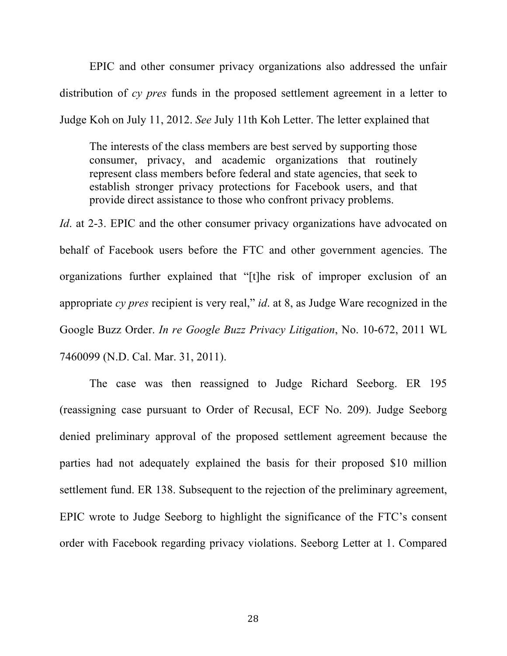EPIC and other consumer privacy organizations also addressed the unfair distribution of *cy pres* funds in the proposed settlement agreement in a letter to Judge Koh on July 11, 2012. *See* July 11th Koh Letter. The letter explained that

The interests of the class members are best served by supporting those consumer, privacy, and academic organizations that routinely represent class members before federal and state agencies, that seek to establish stronger privacy protections for Facebook users, and that provide direct assistance to those who confront privacy problems.

*Id*. at 2-3. EPIC and the other consumer privacy organizations have advocated on behalf of Facebook users before the FTC and other government agencies. The organizations further explained that "[t]he risk of improper exclusion of an appropriate *cy pres* recipient is very real," *id*. at 8, as Judge Ware recognized in the Google Buzz Order. *In re Google Buzz Privacy Litigation*, No. 10-672, 2011 WL 7460099 (N.D. Cal. Mar. 31, 2011).

The case was then reassigned to Judge Richard Seeborg. ER 195 (reassigning case pursuant to Order of Recusal, ECF No. 209). Judge Seeborg denied preliminary approval of the proposed settlement agreement because the parties had not adequately explained the basis for their proposed \$10 million settlement fund. ER 138. Subsequent to the rejection of the preliminary agreement, EPIC wrote to Judge Seeborg to highlight the significance of the FTC's consent order with Facebook regarding privacy violations. Seeborg Letter at 1. Compared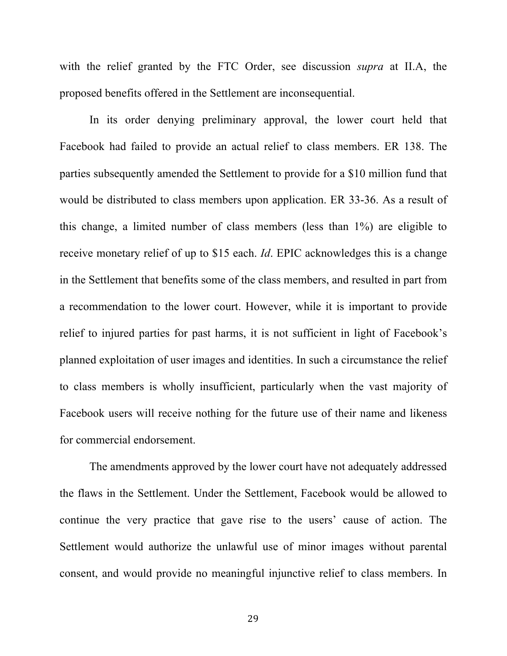with the relief granted by the FTC Order, see discussion *supra* at II.A, the proposed benefits offered in the Settlement are inconsequential.

In its order denying preliminary approval, the lower court held that Facebook had failed to provide an actual relief to class members. ER 138. The parties subsequently amended the Settlement to provide for a \$10 million fund that would be distributed to class members upon application. ER 33-36. As a result of this change, a limited number of class members (less than 1%) are eligible to receive monetary relief of up to \$15 each. *Id*. EPIC acknowledges this is a change in the Settlement that benefits some of the class members, and resulted in part from a recommendation to the lower court. However, while it is important to provide relief to injured parties for past harms, it is not sufficient in light of Facebook's planned exploitation of user images and identities. In such a circumstance the relief to class members is wholly insufficient, particularly when the vast majority of Facebook users will receive nothing for the future use of their name and likeness for commercial endorsement.

The amendments approved by the lower court have not adequately addressed the flaws in the Settlement. Under the Settlement, Facebook would be allowed to continue the very practice that gave rise to the users' cause of action. The Settlement would authorize the unlawful use of minor images without parental consent, and would provide no meaningful injunctive relief to class members. In

29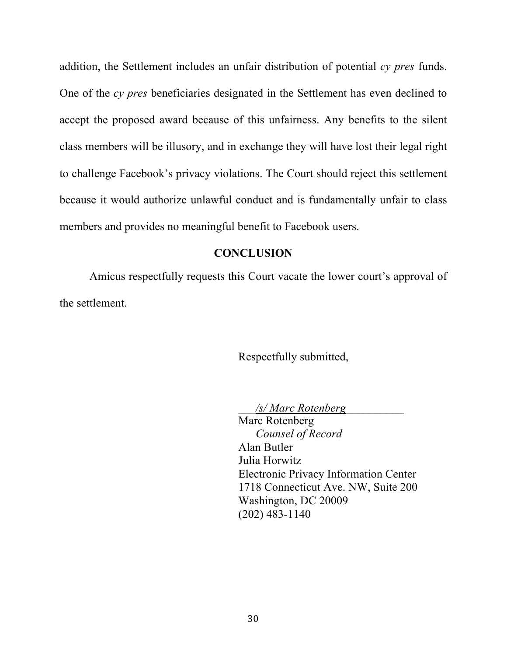addition, the Settlement includes an unfair distribution of potential *cy pres* funds. One of the *cy pres* beneficiaries designated in the Settlement has even declined to accept the proposed award because of this unfairness. Any benefits to the silent class members will be illusory, and in exchange they will have lost their legal right to challenge Facebook's privacy violations. The Court should reject this settlement because it would authorize unlawful conduct and is fundamentally unfair to class members and provides no meaningful benefit to Facebook users.

#### **CONCLUSION**

Amicus respectfully requests this Court vacate the lower court's approval of the settlement.

Respectfully submitted,

\_\_\_*/s/ Marc Rotenberg*\_\_\_\_\_\_\_\_\_\_

Marc Rotenberg *Counsel of Record* Alan Butler Julia Horwitz Electronic Privacy Information Center 1718 Connecticut Ave. NW, Suite 200 Washington, DC 20009 (202) 483-1140